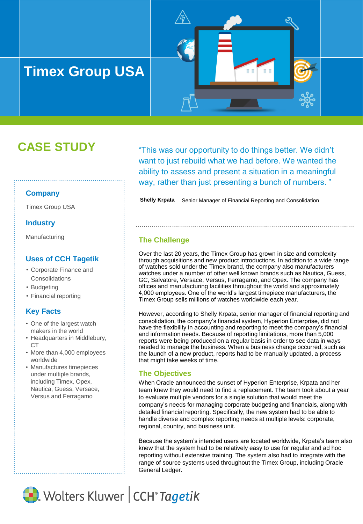# **Timex Group USA**

# **CASE STUDY**

#### **Company**

Timex Group USA

#### **Industry**

Manufacturing

### **Uses of CCH Tagetik**

- Corporate Finance and **Consolidations**
- Budgeting
- Financial reporting

#### **Key Facts**

- One of the largest watch makers in the world
- Headquarters in Middlebury, CT
- More than 4,000 employees worldwide
- Manufactures timepieces under multiple brands, including Timex, Opex, Nautica, Guess, Versace, Versus and Ferragamo

"This was our opportunity to do things better. We didn't want to just rebuild what we had before. We wanted the ability to assess and present a situation in a meaningful way, rather than just presenting a bunch of numbers. "

n n

**Shelly Krpata** Senior Manager of Financial Reporting and Consolidation

#### **The Challenge**

Over the last 20 years, the Timex Group has grown in size and complexity through acquisitions and new product introductions. In addition to a wide range of watches sold under the Timex brand, the company also manufacturers watches under a number of other well known brands such as Nautica, Guess, GC, Salvatore, Versace, Versus, Ferragamo, and Opex. The company has offices and manufacturing facilities throughout the world and approximately 4,000 employees. One of the world's largest timepiece manufacturers, the Timex Group sells millions of watches worldwide each year.

However, according to Shelly Krpata, senior manager of financial reporting and consolidation, the company's financial system, Hyperion Enterprise, did not have the flexibility in accounting and reporting to meet the company's financial and information needs. Because of reporting limitations, more than 5,000 reports were being produced on a regular basis in order to see data in ways needed to manage the business. When a business change occurred, such as the launch of a new product, reports had to be manually updated, a process that might take weeks of time.

#### **The Objectives**

When Oracle announced the sunset of Hyperion Enterprise, Krpata and her team knew they would need to find a replacement. The team took about a year to evaluate multiple vendors for a single solution that would meet the company's needs for managing corporate budgeting and financials, along with detailed financial reporting. Specifically, the new system had to be able to handle diverse and complex reporting needs at multiple levels: corporate, regional, country, and business unit.

Because the system's intended users are located worldwide, Krpata's team also knew that the system had to be relatively easy to use for regular and ad hoc reporting without extensive training. The system also had to integrate with the range of source systems used throughout the Timex Group, including Oracle General Ledger.

Wolters Kluwer | CCH<sup>®</sup> Tagetik